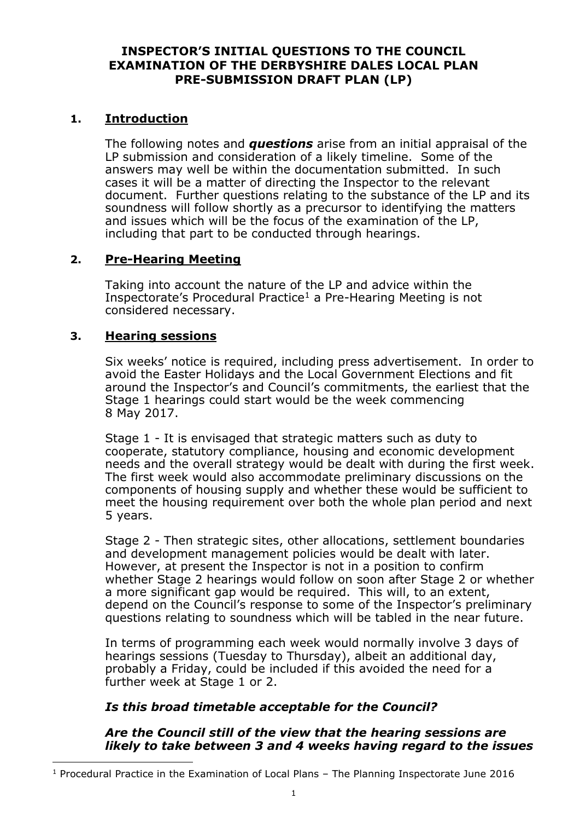### **INSPECTOR'S INITIAL QUESTIONS TO THE COUNCIL EXAMINATION OF THE DERBYSHIRE DALES LOCAL PLAN PRE-SUBMISSION DRAFT PLAN (LP)**

# **1. Introduction**

The following notes and *questions* arise from an initial appraisal of the LP submission and consideration of a likely timeline. Some of the answers may well be within the documentation submitted. In such cases it will be a matter of directing the Inspector to the relevant document. Further questions relating to the substance of the LP and its soundness will follow shortly as a precursor to identifying the matters and issues which will be the focus of the examination of the LP, including that part to be conducted through hearings.

# **2. Pre-Hearing Meeting**

Taking into account the nature of the LP and advice within the Inspectorate's Procedural Practice<sup>1</sup> a Pre-Hearing Meeting is not considered necessary.

# **3. Hearing sessions**

-

Six weeks' notice is required, including press advertisement. In order to avoid the Easter Holidays and the Local Government Elections and fit around the Inspector's and Council's commitments, the earliest that the Stage 1 hearings could start would be the week commencing 8 May 2017.

Stage 1 - It is envisaged that strategic matters such as duty to cooperate, statutory compliance, housing and economic development needs and the overall strategy would be dealt with during the first week. The first week would also accommodate preliminary discussions on the components of housing supply and whether these would be sufficient to meet the housing requirement over both the whole plan period and next 5 years.

Stage 2 - Then strategic sites, other allocations, settlement boundaries and development management policies would be dealt with later. However, at present the Inspector is not in a position to confirm whether Stage 2 hearings would follow on soon after Stage 2 or whether a more significant gap would be required. This will, to an extent, depend on the Council's response to some of the Inspector's preliminary questions relating to soundness which will be tabled in the near future.

In terms of programming each week would normally involve 3 days of hearings sessions (Tuesday to Thursday), albeit an additional day, probably a Friday, could be included if this avoided the need for a further week at Stage 1 or 2.

# *Is this broad timetable acceptable for the Council?*

# *Are the Council still of the view that the hearing sessions are likely to take between 3 and 4 weeks having regard to the issues*

<sup>&</sup>lt;sup>1</sup> Procedural Practice in the Examination of Local Plans - The Planning Inspectorate June 2016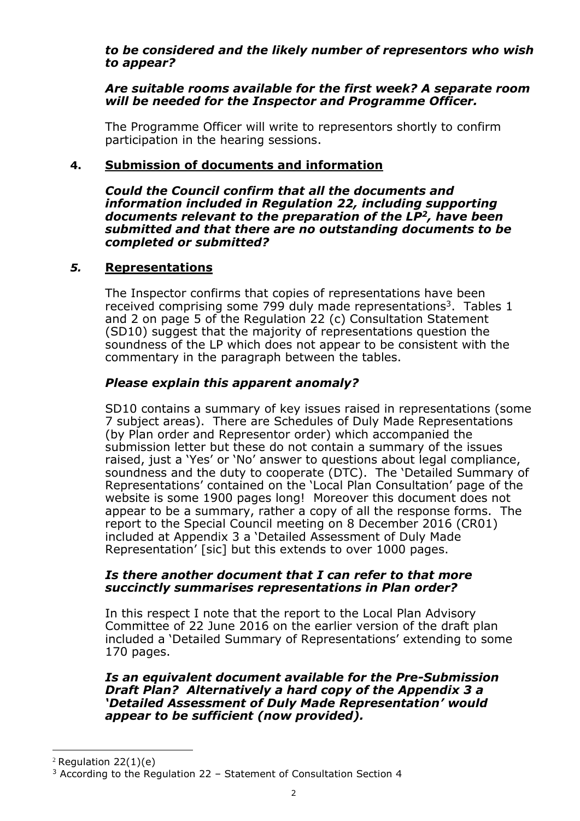### *to be considered and the likely number of representors who wish to appear?*

### *Are suitable rooms available for the first week? A separate room will be needed for the Inspector and Programme Officer.*

The Programme Officer will write to representors shortly to confirm participation in the hearing sessions.

# **4. Submission of documents and information**

*Could the Council confirm that all the documents and information included in Regulation 22, including supporting documents relevant to the preparation of the LP<sup>2</sup>, have been submitted and that there are no outstanding documents to be completed or submitted?*

## *5.* **Representations**

The Inspector confirms that copies of representations have been received comprising some 799 duly made representations<sup>3</sup>. Tables 1 and 2 on page 5 of the Regulation 22 (c) Consultation Statement (SD10) suggest that the majority of representations question the soundness of the LP which does not appear to be consistent with the commentary in the paragraph between the tables.

## *Please explain this apparent anomaly?*

SD10 contains a summary of key issues raised in representations (some 7 subject areas). There are Schedules of Duly Made Representations (by Plan order and Representor order) which accompanied the submission letter but these do not contain a summary of the issues raised, just a 'Yes' or 'No' answer to questions about legal compliance, soundness and the duty to cooperate (DTC). The 'Detailed Summary of Representations' contained on the 'Local Plan Consultation' page of the website is some 1900 pages long! Moreover this document does not appear to be a summary, rather a copy of all the response forms. The report to the Special Council meeting on 8 December 2016 (CR01) included at Appendix 3 a 'Detailed Assessment of Duly Made Representation' [sic] but this extends to over 1000 pages.

### *Is there another document that I can refer to that more succinctly summarises representations in Plan order?*

In this respect I note that the report to the Local Plan Advisory Committee of 22 June 2016 on the earlier version of the draft plan included a 'Detailed Summary of Representations' extending to some 170 pages.

#### *Is an equivalent document available for the Pre-Submission Draft Plan? Alternatively a hard copy of the Appendix 3 a 'Detailed Assessment of Duly Made Representation' would appear to be sufficient (now provided).*

-

 $2$  Regulation 22(1)(e)

<sup>3</sup> According to the Regulation 22 – Statement of Consultation Section 4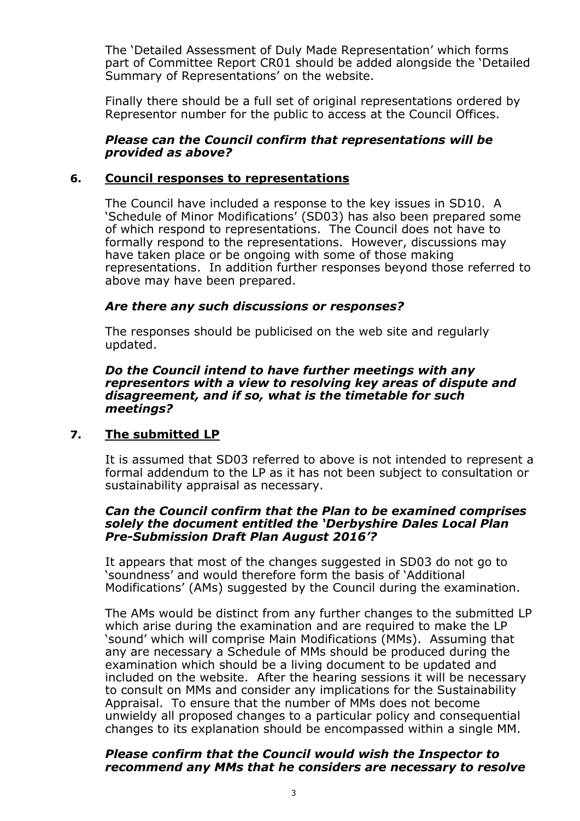The 'Detailed Assessment of Duly Made Representation' which forms part of Committee Report CR01 should be added alongside the 'Detailed Summary of Representations' on the website.

Finally there should be a full set of original representations ordered by Representor number for the public to access at the Council Offices.

### *Please can the Council confirm that representations will be provided as above?*

### **6. Council responses to representations**

The Council have included a response to the key issues in SD10. A 'Schedule of Minor Modifications' (SD03) has also been prepared some of which respond to representations. The Council does not have to formally respond to the representations. However, discussions may have taken place or be ongoing with some of those making representations. In addition further responses beyond those referred to above may have been prepared.

### *Are there any such discussions or responses?*

The responses should be publicised on the web site and regularly updated.

#### *Do the Council intend to have further meetings with any representors with a view to resolving key areas of dispute and disagreement, and if so, what is the timetable for such meetings?*

## **7. The submitted LP**

It is assumed that SD03 referred to above is not intended to represent a formal addendum to the LP as it has not been subject to consultation or sustainability appraisal as necessary.

#### *Can the Council confirm that the Plan to be examined comprises solely the document entitled the 'Derbyshire Dales Local Plan Pre-Submission Draft Plan August 2016'?*

It appears that most of the changes suggested in SD03 do not go to 'soundness' and would therefore form the basis of 'Additional Modifications' (AMs) suggested by the Council during the examination.

The AMs would be distinct from any further changes to the submitted LP which arise during the examination and are required to make the LP 'sound' which will comprise Main Modifications (MMs). Assuming that any are necessary a Schedule of MMs should be produced during the examination which should be a living document to be updated and included on the website. After the hearing sessions it will be necessary to consult on MMs and consider any implications for the Sustainability Appraisal. To ensure that the number of MMs does not become unwieldy all proposed changes to a particular policy and consequential changes to its explanation should be encompassed within a single MM.

#### *Please confirm that the Council would wish the Inspector to recommend any MMs that he considers are necessary to resolve*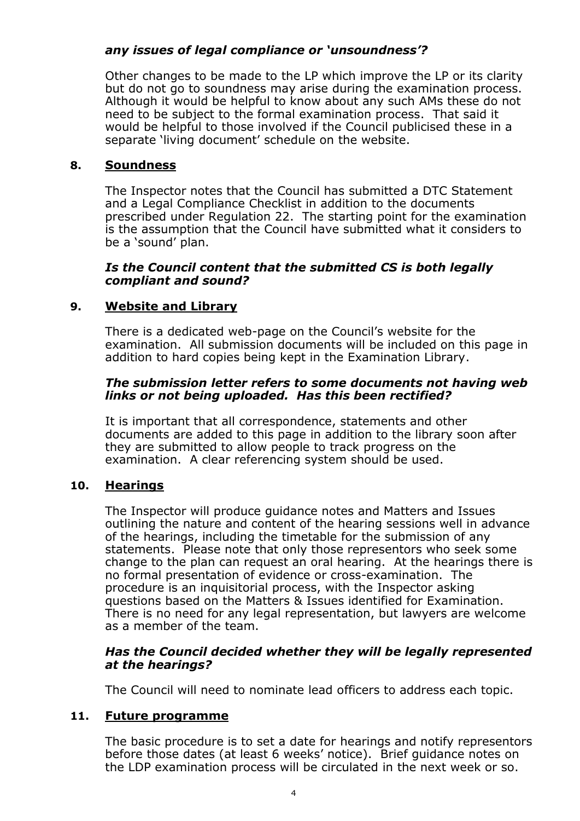# *any issues of legal compliance or 'unsoundness'?*

Other changes to be made to the LP which improve the LP or its clarity but do not go to soundness may arise during the examination process. Although it would be helpful to know about any such AMs these do not need to be subject to the formal examination process. That said it would be helpful to those involved if the Council publicised these in a separate 'living document' schedule on the website.

# **8. Soundness**

The Inspector notes that the Council has submitted a DTC Statement and a Legal Compliance Checklist in addition to the documents prescribed under Regulation 22. The starting point for the examination is the assumption that the Council have submitted what it considers to be a 'sound' plan.

### *Is the Council content that the submitted CS is both legally compliant and sound?*

# **9. Website and Library**

There is a dedicated web-page on the Council's website for the examination. All submission documents will be included on this page in addition to hard copies being kept in the Examination Library.

### *The submission letter refers to some documents not having web links or not being uploaded. Has this been rectified?*

It is important that all correspondence, statements and other documents are added to this page in addition to the library soon after they are submitted to allow people to track progress on the examination. A clear referencing system should be used.

## **10. Hearings**

The Inspector will produce guidance notes and Matters and Issues outlining the nature and content of the hearing sessions well in advance of the hearings, including the timetable for the submission of any statements. Please note that only those representors who seek some change to the plan can request an oral hearing. At the hearings there is no formal presentation of evidence or cross-examination. The procedure is an inquisitorial process, with the Inspector asking questions based on the Matters & Issues identified for Examination. There is no need for any legal representation, but lawyers are welcome as a member of the team.

## *Has the Council decided whether they will be legally represented at the hearings?*

The Council will need to nominate lead officers to address each topic.

## **11. Future programme**

The basic procedure is to set a date for hearings and notify representors before those dates (at least 6 weeks' notice). Brief guidance notes on the LDP examination process will be circulated in the next week or so.